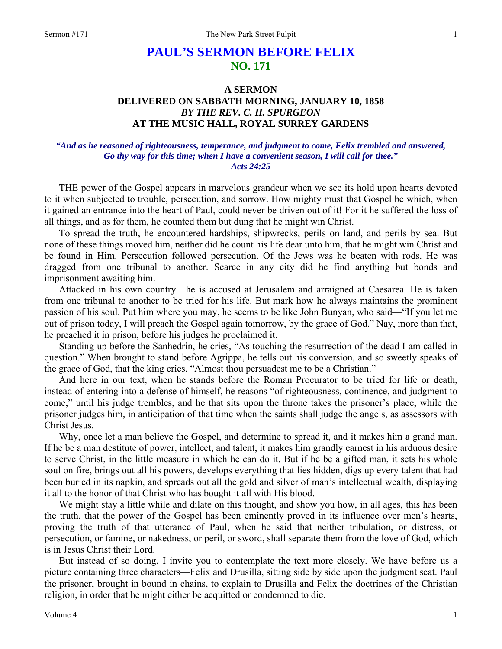# **PAUL'S SERMON BEFORE FELIX NO. 171**

# **A SERMON DELIVERED ON SABBATH MORNING, JANUARY 10, 1858**  *BY THE REV. C. H. SPURGEON*  **AT THE MUSIC HALL, ROYAL SURREY GARDENS**

## *"And as he reasoned of righteousness, temperance, and judgment to come, Felix trembled and answered, Go thy way for this time; when I have a convenient season, I will call for thee." Acts 24:25*

THE power of the Gospel appears in marvelous grandeur when we see its hold upon hearts devoted to it when subjected to trouble, persecution, and sorrow. How mighty must that Gospel be which, when it gained an entrance into the heart of Paul, could never be driven out of it! For it he suffered the loss of all things, and as for them, he counted them but dung that he might win Christ.

To spread the truth, he encountered hardships, shipwrecks, perils on land, and perils by sea. But none of these things moved him, neither did he count his life dear unto him, that he might win Christ and be found in Him. Persecution followed persecution. Of the Jews was he beaten with rods. He was dragged from one tribunal to another. Scarce in any city did he find anything but bonds and imprisonment awaiting him.

Attacked in his own country—he is accused at Jerusalem and arraigned at Caesarea. He is taken from one tribunal to another to be tried for his life. But mark how he always maintains the prominent passion of his soul. Put him where you may, he seems to be like John Bunyan, who said—"If you let me out of prison today, I will preach the Gospel again tomorrow, by the grace of God." Nay, more than that, he preached it in prison, before his judges he proclaimed it.

Standing up before the Sanhedrin, he cries, "As touching the resurrection of the dead I am called in question." When brought to stand before Agrippa, he tells out his conversion, and so sweetly speaks of the grace of God, that the king cries, "Almost thou persuadest me to be a Christian."

And here in our text, when he stands before the Roman Procurator to be tried for life or death, instead of entering into a defense of himself, he reasons "of righteousness, continence, and judgment to come," until his judge trembles, and he that sits upon the throne takes the prisoner's place, while the prisoner judges him, in anticipation of that time when the saints shall judge the angels, as assessors with Christ Jesus.

Why, once let a man believe the Gospel, and determine to spread it, and it makes him a grand man. If he be a man destitute of power, intellect, and talent, it makes him grandly earnest in his arduous desire to serve Christ, in the little measure in which he can do it. But if he be a gifted man, it sets his whole soul on fire, brings out all his powers, develops everything that lies hidden, digs up every talent that had been buried in its napkin, and spreads out all the gold and silver of man's intellectual wealth, displaying it all to the honor of that Christ who has bought it all with His blood.

We might stay a little while and dilate on this thought, and show you how, in all ages, this has been the truth, that the power of the Gospel has been eminently proved in its influence over men's hearts, proving the truth of that utterance of Paul, when he said that neither tribulation, or distress, or persecution, or famine, or nakedness, or peril, or sword, shall separate them from the love of God, which is in Jesus Christ their Lord.

But instead of so doing, I invite you to contemplate the text more closely. We have before us a picture containing three characters—Felix and Drusilla, sitting side by side upon the judgment seat. Paul the prisoner, brought in bound in chains, to explain to Drusilla and Felix the doctrines of the Christian religion, in order that he might either be acquitted or condemned to die.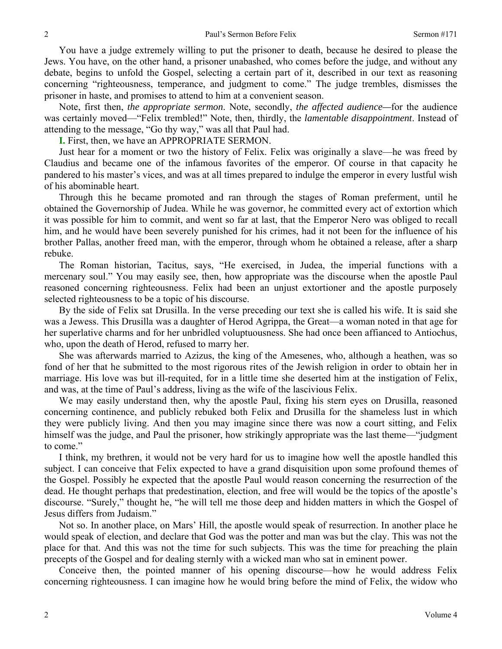You have a judge extremely willing to put the prisoner to death, because he desired to please the Jews. You have, on the other hand, a prisoner unabashed, who comes before the judge, and without any debate, begins to unfold the Gospel, selecting a certain part of it, described in our text as reasoning concerning "righteousness, temperance, and judgment to come." The judge trembles, dismisses the prisoner in haste, and promises to attend to him at a convenient season.

Note, first then, *the appropriate sermon*. Note, secondly, *the affected audience—*for the audience was certainly moved—"Felix trembled!" Note, then, thirdly, the *lamentable disappointment*. Instead of attending to the message, "Go thy way," was all that Paul had.

**I.** First, then, we have an APPROPRIATE SERMON.

Just hear for a moment or two the history of Felix. Felix was originally a slave—he was freed by Claudius and became one of the infamous favorites of the emperor. Of course in that capacity he pandered to his master's vices, and was at all times prepared to indulge the emperor in every lustful wish of his abominable heart.

Through this he became promoted and ran through the stages of Roman preferment, until he obtained the Governorship of Judea. While he was governor, he committed every act of extortion which it was possible for him to commit, and went so far at last, that the Emperor Nero was obliged to recall him, and he would have been severely punished for his crimes, had it not been for the influence of his brother Pallas, another freed man, with the emperor, through whom he obtained a release, after a sharp rebuke.

The Roman historian, Tacitus, says, "He exercised, in Judea, the imperial functions with a mercenary soul." You may easily see, then, how appropriate was the discourse when the apostle Paul reasoned concerning righteousness. Felix had been an unjust extortioner and the apostle purposely selected righteousness to be a topic of his discourse.

By the side of Felix sat Drusilla. In the verse preceding our text she is called his wife. It is said she was a Jewess. This Drusilla was a daughter of Herod Agrippa, the Great—a woman noted in that age for her superlative charms and for her unbridled voluptuousness. She had once been affianced to Antiochus, who, upon the death of Herod, refused to marry her.

She was afterwards married to Azizus, the king of the Amesenes, who, although a heathen, was so fond of her that he submitted to the most rigorous rites of the Jewish religion in order to obtain her in marriage. His love was but ill-requited, for in a little time she deserted him at the instigation of Felix, and was, at the time of Paul's address, living as the wife of the lascivious Felix.

We may easily understand then, why the apostle Paul, fixing his stern eyes on Drusilla, reasoned concerning continence, and publicly rebuked both Felix and Drusilla for the shameless lust in which they were publicly living. And then you may imagine since there was now a court sitting, and Felix himself was the judge, and Paul the prisoner, how strikingly appropriate was the last theme—"judgment to come."

I think, my brethren, it would not be very hard for us to imagine how well the apostle handled this subject. I can conceive that Felix expected to have a grand disquisition upon some profound themes of the Gospel. Possibly he expected that the apostle Paul would reason concerning the resurrection of the dead. He thought perhaps that predestination, election, and free will would be the topics of the apostle's discourse. "Surely," thought he, "he will tell me those deep and hidden matters in which the Gospel of Jesus differs from Judaism."

Not so. In another place, on Mars' Hill, the apostle would speak of resurrection. In another place he would speak of election, and declare that God was the potter and man was but the clay. This was not the place for that. And this was not the time for such subjects. This was the time for preaching the plain precepts of the Gospel and for dealing sternly with a wicked man who sat in eminent power.

Conceive then, the pointed manner of his opening discourse—how he would address Felix concerning righteousness. I can imagine how he would bring before the mind of Felix, the widow who

2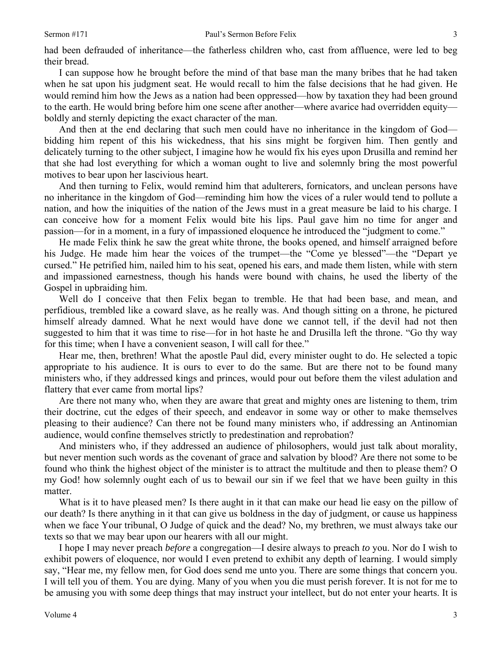had been defrauded of inheritance—the fatherless children who, cast from affluence, were led to beg their bread.

I can suppose how he brought before the mind of that base man the many bribes that he had taken when he sat upon his judgment seat. He would recall to him the false decisions that he had given. He would remind him how the Jews as a nation had been oppressed—how by taxation they had been ground to the earth. He would bring before him one scene after another—where avarice had overridden equity boldly and sternly depicting the exact character of the man.

And then at the end declaring that such men could have no inheritance in the kingdom of God bidding him repent of this his wickedness, that his sins might be forgiven him. Then gently and delicately turning to the other subject, I imagine how he would fix his eyes upon Drusilla and remind her that she had lost everything for which a woman ought to live and solemnly bring the most powerful motives to bear upon her lascivious heart.

And then turning to Felix, would remind him that adulterers, fornicators, and unclean persons have no inheritance in the kingdom of God—reminding him how the vices of a ruler would tend to pollute a nation, and how the iniquities of the nation of the Jews must in a great measure be laid to his charge. I can conceive how for a moment Felix would bite his lips. Paul gave him no time for anger and passion—for in a moment, in a fury of impassioned eloquence he introduced the "judgment to come."

He made Felix think he saw the great white throne, the books opened, and himself arraigned before his Judge. He made him hear the voices of the trumpet—the "Come ye blessed"—the "Depart ye cursed." He petrified him, nailed him to his seat, opened his ears, and made them listen, while with stern and impassioned earnestness, though his hands were bound with chains, he used the liberty of the Gospel in upbraiding him.

Well do I conceive that then Felix began to tremble. He that had been base, and mean, and perfidious, trembled like a coward slave, as he really was. And though sitting on a throne, he pictured himself already damned. What he next would have done we cannot tell, if the devil had not then suggested to him that it was time to rise—for in hot haste he and Drusilla left the throne. "Go thy way for this time; when I have a convenient season, I will call for thee."

Hear me, then, brethren! What the apostle Paul did, every minister ought to do. He selected a topic appropriate to his audience. It is ours to ever to do the same. But are there not to be found many ministers who, if they addressed kings and princes, would pour out before them the vilest adulation and flattery that ever came from mortal lips?

Are there not many who, when they are aware that great and mighty ones are listening to them, trim their doctrine, cut the edges of their speech, and endeavor in some way or other to make themselves pleasing to their audience? Can there not be found many ministers who, if addressing an Antinomian audience, would confine themselves strictly to predestination and reprobation?

And ministers who, if they addressed an audience of philosophers, would just talk about morality, but never mention such words as the covenant of grace and salvation by blood? Are there not some to be found who think the highest object of the minister is to attract the multitude and then to please them? O my God! how solemnly ought each of us to bewail our sin if we feel that we have been guilty in this matter.

What is it to have pleased men? Is there aught in it that can make our head lie easy on the pillow of our death? Is there anything in it that can give us boldness in the day of judgment, or cause us happiness when we face Your tribunal, O Judge of quick and the dead? No, my brethren, we must always take our texts so that we may bear upon our hearers with all our might.

I hope I may never preach *before* a congregation—I desire always to preach *to* you. Nor do I wish to exhibit powers of eloquence, nor would I even pretend to exhibit any depth of learning. I would simply say, "Hear me, my fellow men, for God does send me unto you. There are some things that concern you. I will tell you of them. You are dying. Many of you when you die must perish forever. It is not for me to be amusing you with some deep things that may instruct your intellect, but do not enter your hearts. It is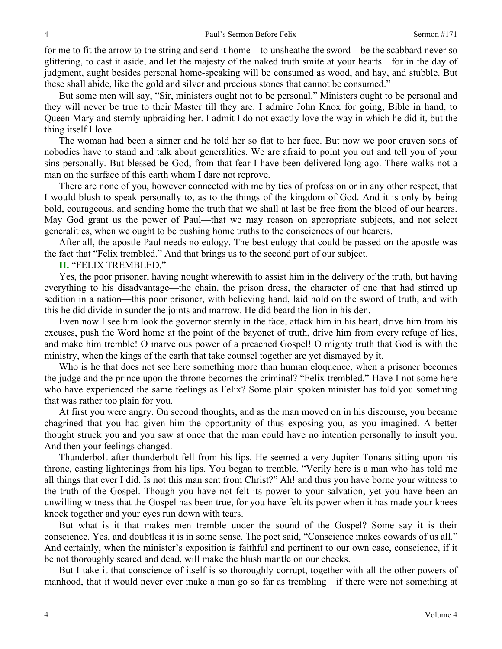for me to fit the arrow to the string and send it home—to unsheathe the sword—be the scabbard never so glittering, to cast it aside, and let the majesty of the naked truth smite at your hearts—for in the day of judgment, aught besides personal home-speaking will be consumed as wood, and hay, and stubble. But these shall abide, like the gold and silver and precious stones that cannot be consumed."

But some men will say, "Sir, ministers ought not to be personal." Ministers ought to be personal and they will never be true to their Master till they are. I admire John Knox for going, Bible in hand, to Queen Mary and sternly upbraiding her. I admit I do not exactly love the way in which he did it, but the thing itself I love.

The woman had been a sinner and he told her so flat to her face. But now we poor craven sons of nobodies have to stand and talk about generalities. We are afraid to point you out and tell you of your sins personally. But blessed be God, from that fear I have been delivered long ago. There walks not a man on the surface of this earth whom I dare not reprove.

There are none of you, however connected with me by ties of profession or in any other respect, that I would blush to speak personally to, as to the things of the kingdom of God. And it is only by being bold, courageous, and sending home the truth that we shall at last be free from the blood of our hearers. May God grant us the power of Paul—that we may reason on appropriate subjects, and not select generalities, when we ought to be pushing home truths to the consciences of our hearers.

After all, the apostle Paul needs no eulogy. The best eulogy that could be passed on the apostle was the fact that "Felix trembled." And that brings us to the second part of our subject.

#### **II.** "FELIX TREMBLED."

Yes, the poor prisoner, having nought wherewith to assist him in the delivery of the truth, but having everything to his disadvantage—the chain, the prison dress, the character of one that had stirred up sedition in a nation—this poor prisoner, with believing hand, laid hold on the sword of truth, and with this he did divide in sunder the joints and marrow. He did beard the lion in his den.

Even now I see him look the governor sternly in the face, attack him in his heart, drive him from his excuses, push the Word home at the point of the bayonet of truth, drive him from every refuge of lies, and make him tremble! O marvelous power of a preached Gospel! O mighty truth that God is with the ministry, when the kings of the earth that take counsel together are yet dismayed by it.

Who is he that does not see here something more than human eloquence, when a prisoner becomes the judge and the prince upon the throne becomes the criminal? "Felix trembled." Have I not some here who have experienced the same feelings as Felix? Some plain spoken minister has told you something that was rather too plain for you.

At first you were angry. On second thoughts, and as the man moved on in his discourse, you became chagrined that you had given him the opportunity of thus exposing you, as you imagined. A better thought struck you and you saw at once that the man could have no intention personally to insult you. And then your feelings changed.

Thunderbolt after thunderbolt fell from his lips. He seemed a very Jupiter Tonans sitting upon his throne, casting lightenings from his lips. You began to tremble. "Verily here is a man who has told me all things that ever I did. Is not this man sent from Christ?" Ah! and thus you have borne your witness to the truth of the Gospel. Though you have not felt its power to your salvation, yet you have been an unwilling witness that the Gospel has been true, for you have felt its power when it has made your knees knock together and your eyes run down with tears.

But what is it that makes men tremble under the sound of the Gospel? Some say it is their conscience. Yes, and doubtless it is in some sense. The poet said, "Conscience makes cowards of us all." And certainly, when the minister's exposition is faithful and pertinent to our own case, conscience, if it be not thoroughly seared and dead, will make the blush mantle on our cheeks.

But I take it that conscience of itself is so thoroughly corrupt, together with all the other powers of manhood, that it would never ever make a man go so far as trembling—if there were not something at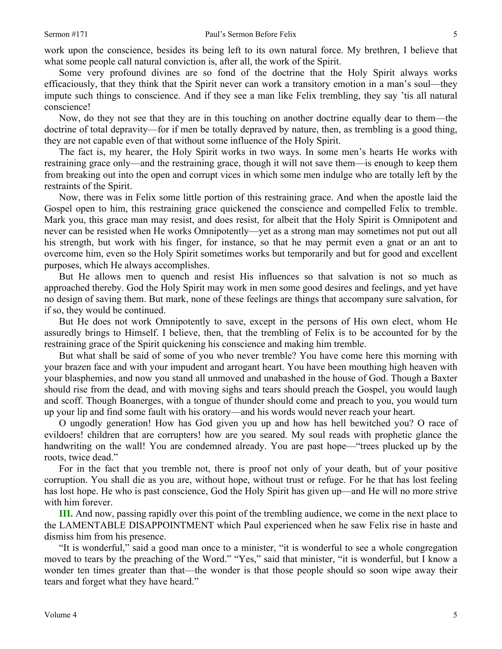work upon the conscience, besides its being left to its own natural force. My brethren, I believe that what some people call natural conviction is, after all, the work of the Spirit.

Some very profound divines are so fond of the doctrine that the Holy Spirit always works efficaciously, that they think that the Spirit never can work a transitory emotion in a man's soul—they impute such things to conscience. And if they see a man like Felix trembling, they say 'tis all natural conscience!

Now, do they not see that they are in this touching on another doctrine equally dear to them—the doctrine of total depravity—for if men be totally depraved by nature, then, as trembling is a good thing, they are not capable even of that without some influence of the Holy Spirit.

The fact is, my hearer, the Holy Spirit works in two ways. In some men's hearts He works with restraining grace only—and the restraining grace, though it will not save them—is enough to keep them from breaking out into the open and corrupt vices in which some men indulge who are totally left by the restraints of the Spirit.

Now, there was in Felix some little portion of this restraining grace. And when the apostle laid the Gospel open to him, this restraining grace quickened the conscience and compelled Felix to tremble. Mark you, this grace man may resist, and does resist, for albeit that the Holy Spirit is Omnipotent and never can be resisted when He works Omnipotently—yet as a strong man may sometimes not put out all his strength, but work with his finger, for instance, so that he may permit even a gnat or an ant to overcome him, even so the Holy Spirit sometimes works but temporarily and but for good and excellent purposes, which He always accomplishes.

But He allows men to quench and resist His influences so that salvation is not so much as approached thereby. God the Holy Spirit may work in men some good desires and feelings, and yet have no design of saving them. But mark, none of these feelings are things that accompany sure salvation, for if so, they would be continued.

But He does not work Omnipotently to save, except in the persons of His own elect, whom He assuredly brings to Himself. I believe, then, that the trembling of Felix is to be accounted for by the restraining grace of the Spirit quickening his conscience and making him tremble.

But what shall be said of some of you who never tremble? You have come here this morning with your brazen face and with your impudent and arrogant heart. You have been mouthing high heaven with your blasphemies, and now you stand all unmoved and unabashed in the house of God. Though a Baxter should rise from the dead, and with moving sighs and tears should preach the Gospel, you would laugh and scoff. Though Boanerges, with a tongue of thunder should come and preach to you, you would turn up your lip and find some fault with his oratory—and his words would never reach your heart.

O ungodly generation! How has God given you up and how has hell bewitched you? O race of evildoers! children that are corrupters! how are you seared. My soul reads with prophetic glance the handwriting on the wall! You are condemned already. You are past hope—"trees plucked up by the roots, twice dead."

For in the fact that you tremble not, there is proof not only of your death, but of your positive corruption. You shall die as you are, without hope, without trust or refuge. For he that has lost feeling has lost hope. He who is past conscience, God the Holy Spirit has given up—and He will no more strive with him forever.

**III.** And now, passing rapidly over this point of the trembling audience, we come in the next place to the LAMENTABLE DISAPPOINTMENT which Paul experienced when he saw Felix rise in haste and dismiss him from his presence.

"It is wonderful," said a good man once to a minister, "it is wonderful to see a whole congregation moved to tears by the preaching of the Word." "Yes," said that minister, "it is wonderful, but I know a wonder ten times greater than that—the wonder is that those people should so soon wipe away their tears and forget what they have heard."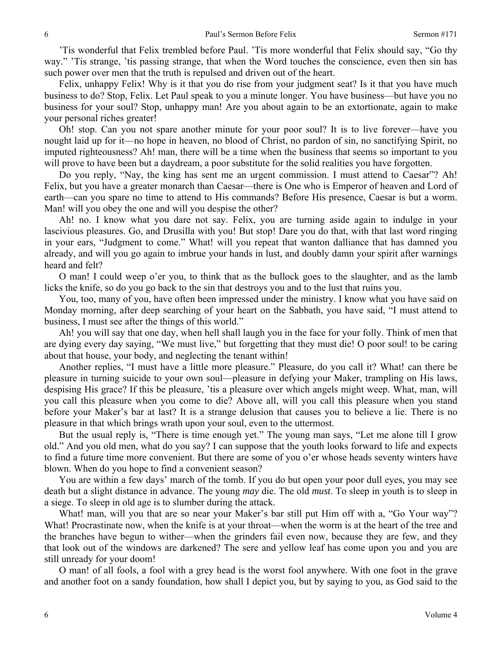'Tis wonderful that Felix trembled before Paul. 'Tis more wonderful that Felix should say, "Go thy way." 'Tis strange, 'tis passing strange, that when the Word touches the conscience, even then sin has such power over men that the truth is repulsed and driven out of the heart.

Felix, unhappy Felix! Why is it that you do rise from your judgment seat? Is it that you have much business to do? Stop, Felix. Let Paul speak to you a minute longer. You have business—but have you no business for your soul? Stop, unhappy man! Are you about again to be an extortionate, again to make your personal riches greater!

Oh! stop. Can you not spare another minute for your poor soul? It is to live forever—have you nought laid up for it—no hope in heaven, no blood of Christ, no pardon of sin, no sanctifying Spirit, no imputed righteousness? Ah! man, there will be a time when the business that seems so important to you will prove to have been but a daydream, a poor substitute for the solid realities you have forgotten.

Do you reply, "Nay, the king has sent me an urgent commission. I must attend to Caesar"? Ah! Felix, but you have a greater monarch than Caesar—there is One who is Emperor of heaven and Lord of earth—can you spare no time to attend to His commands? Before His presence, Caesar is but a worm. Man! will you obey the one and will you despise the other?

Ah! no. I know what you dare not say. Felix, you are turning aside again to indulge in your lascivious pleasures. Go, and Drusilla with you! But stop! Dare you do that, with that last word ringing in your ears, "Judgment to come." What! will you repeat that wanton dalliance that has damned you already, and will you go again to imbrue your hands in lust, and doubly damn your spirit after warnings heard and felt?

O man! I could weep o'er you, to think that as the bullock goes to the slaughter, and as the lamb licks the knife, so do you go back to the sin that destroys you and to the lust that ruins you.

You, too, many of you, have often been impressed under the ministry. I know what you have said on Monday morning, after deep searching of your heart on the Sabbath, you have said, "I must attend to business, I must see after the things of this world."

Ah! you will say that one day, when hell shall laugh you in the face for your folly. Think of men that are dying every day saying, "We must live," but forgetting that they must die! O poor soul! to be caring about that house, your body, and neglecting the tenant within!

Another replies, "I must have a little more pleasure." Pleasure, do you call it? What! can there be pleasure in turning suicide to your own soul—pleasure in defying your Maker, trampling on His laws, despising His grace? If this be pleasure, 'tis a pleasure over which angels might weep. What, man, will you call this pleasure when you come to die? Above all, will you call this pleasure when you stand before your Maker's bar at last? It is a strange delusion that causes you to believe a lie. There is no pleasure in that which brings wrath upon your soul, even to the uttermost.

But the usual reply is, "There is time enough yet." The young man says, "Let me alone till I grow old." And you old men, what do you say? I can suppose that the youth looks forward to life and expects to find a future time more convenient. But there are some of you o'er whose heads seventy winters have blown. When do you hope to find a convenient season?

You are within a few days' march of the tomb. If you do but open your poor dull eyes, you may see death but a slight distance in advance. The young *may* die. The old *must*. To sleep in youth is to sleep in a siege. To sleep in old age is to slumber during the attack.

What! man, will you that are so near your Maker's bar still put Him off with a, "Go Your way"? What! Procrastinate now, when the knife is at your throat—when the worm is at the heart of the tree and the branches have begun to wither—when the grinders fail even now, because they are few, and they that look out of the windows are darkened? The sere and yellow leaf has come upon you and you are still unready for your doom!

O man! of all fools, a fool with a grey head is the worst fool anywhere. With one foot in the grave and another foot on a sandy foundation, how shall I depict you, but by saying to you, as God said to the

6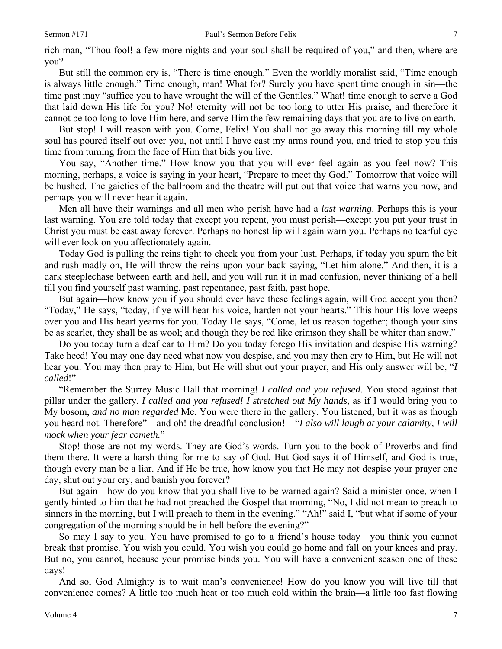But still the common cry is, "There is time enough." Even the worldly moralist said, "Time enough is always little enough." Time enough, man! What for? Surely you have spent time enough in sin—the time past may "suffice you to have wrought the will of the Gentiles." What! time enough to serve a God that laid down His life for you? No! eternity will not be too long to utter His praise, and therefore it cannot be too long to love Him here, and serve Him the few remaining days that you are to live on earth.

But stop! I will reason with you. Come, Felix! You shall not go away this morning till my whole soul has poured itself out over you, not until I have cast my arms round you, and tried to stop you this time from turning from the face of Him that bids you live.

You say, "Another time." How know you that you will ever feel again as you feel now? This morning, perhaps, a voice is saying in your heart, "Prepare to meet thy God." Tomorrow that voice will be hushed. The gaieties of the ballroom and the theatre will put out that voice that warns you now, and perhaps you will never hear it again.

Men all have their warnings and all men who perish have had a *last warning*. Perhaps this is your last warning. You are told today that except you repent, you must perish—except you put your trust in Christ you must be cast away forever. Perhaps no honest lip will again warn you. Perhaps no tearful eye will ever look on you affectionately again.

Today God is pulling the reins tight to check you from your lust. Perhaps, if today you spurn the bit and rush madly on, He will throw the reins upon your back saying, "Let him alone." And then, it is a dark steeplechase between earth and hell, and you will run it in mad confusion, never thinking of a hell till you find yourself past warning, past repentance, past faith, past hope.

But again—how know you if you should ever have these feelings again, will God accept you then? "Today," He says, "today, if ye will hear his voice, harden not your hearts." This hour His love weeps over you and His heart yearns for you. Today He says, "Come, let us reason together; though your sins be as scarlet, they shall be as wool; and though they be red like crimson they shall be whiter than snow."

Do you today turn a deaf ear to Him? Do you today forego His invitation and despise His warning? Take heed! You may one day need what now you despise, and you may then cry to Him, but He will not hear you. You may then pray to Him, but He will shut out your prayer, and His only answer will be, "*I called*!"

"Remember the Surrey Music Hall that morning! *I called and you refused*. You stood against that pillar under the gallery. *I called and you refused! I stretched out My hands*, as if I would bring you to My bosom, *and no man regarded* Me. You were there in the gallery. You listened, but it was as though you heard not. Therefore"—and oh! the dreadful conclusion!—"*I also will laugh at your calamity, I will mock when your fear cometh.*"

Stop! those are not my words. They are God's words. Turn you to the book of Proverbs and find them there. It were a harsh thing for me to say of God. But God says it of Himself, and God is true, though every man be a liar. And if He be true, how know you that He may not despise your prayer one day, shut out your cry, and banish you forever?

But again—how do you know that you shall live to be warned again? Said a minister once, when I gently hinted to him that he had not preached the Gospel that morning, "No, I did not mean to preach to sinners in the morning, but I will preach to them in the evening." "Ah!" said I, "but what if some of your congregation of the morning should be in hell before the evening?"

So may I say to you. You have promised to go to a friend's house today—you think you cannot break that promise. You wish you could. You wish you could go home and fall on your knees and pray. But no, you cannot, because your promise binds you. You will have a convenient season one of these days!

And so, God Almighty is to wait man's convenience! How do you know you will live till that convenience comes? A little too much heat or too much cold within the brain—a little too fast flowing